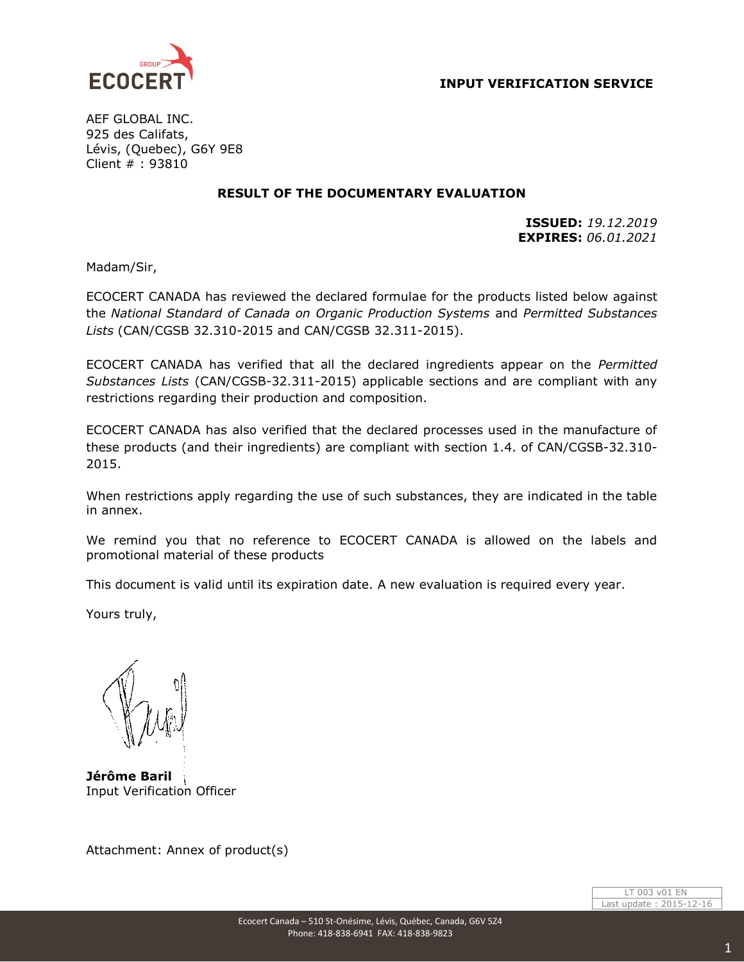



AEF GLOBAL INC. 925 des Califats, Lévis, (Quebec), G6Y 9E8 Client # : 93810

## **RESULT OF THE DOCUMENTARY EVALUATION**

**ISSUED:** *19.12.2019* **EXPIRES:** *06.01.2021*

Madam/Sir,

ECOCERT CANADA has reviewed the declared formulae for the products listed below against the *National Standard of Canada on Organic Production Systems* and *Permitted Substances Lists* (CAN/CGSB 32.310-2015 and CAN/CGSB 32.311-2015).

ECOCERT CANADA has verified that all the declared ingredients appear on the *Permitted Substances Lists* (CAN/CGSB-32.311-2015) applicable sections and are compliant with any restrictions regarding their production and composition.

ECOCERT CANADA has also verified that the declared processes used in the manufacture of these products (and their ingredients) are compliant with section 1.4. of CAN/CGSB-32.310- 2015.

When restrictions apply regarding the use of such substances, they are indicated in the table in annex.

We remind you that no reference to ECOCERT CANADA is allowed on the labels and promotional material of these products

This document is valid until its expiration date. A new evaluation is required every year.

Yours truly,

**Jérôme Baril** Input Verification Officer

Attachment: Annex of product(s)

LT 003 v01 EN Last update : 2015-12-16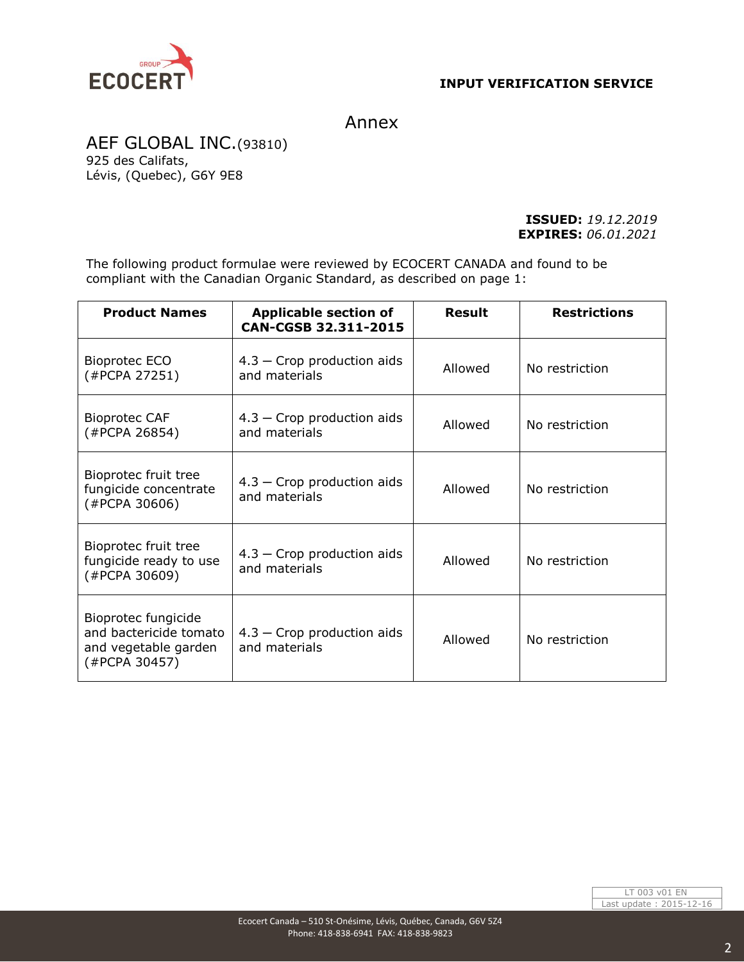

## Annex

AEF GLOBAL INC.(93810) 925 des Califats, Lévis, (Quebec), G6Y 9E8

> **ISSUED:** *19.12.2019* **EXPIRES:** *06.01.2021*

The following product formulae were reviewed by ECOCERT CANADA and found to be compliant with the Canadian Organic Standard, as described on page 1:

| <b>Product Names</b>                                                                   | <b>Applicable section of</b><br>CAN-CGSB 32.311-2015 | <b>Result</b> | <b>Restrictions</b> |
|----------------------------------------------------------------------------------------|------------------------------------------------------|---------------|---------------------|
| Bioprotec ECO<br>(#PCPA 27251)                                                         | $4.3$ – Crop production aids<br>and materials        | Allowed       | No restriction      |
| <b>Bioprotec CAF</b><br>(#PCPA 26854)                                                  | $4.3$ – Crop production aids<br>and materials        | Allowed       | No restriction      |
| Bioprotec fruit tree<br>fungicide concentrate<br>(#PCPA 30606)                         | $4.3$ – Crop production aids<br>and materials        | Allowed       | No restriction      |
| Bioprotec fruit tree<br>fungicide ready to use<br>(#PCPA 30609)                        | $4.3$ – Crop production aids<br>and materials        | Allowed       | No restriction      |
| Bioprotec fungicide<br>and bactericide tomato<br>and vegetable garden<br>(#PCPA 30457) | $4.3$ – Crop production aids<br>and materials        | Allowed       | No restriction      |

LT 003 v01 EN Last update : 2015-12-16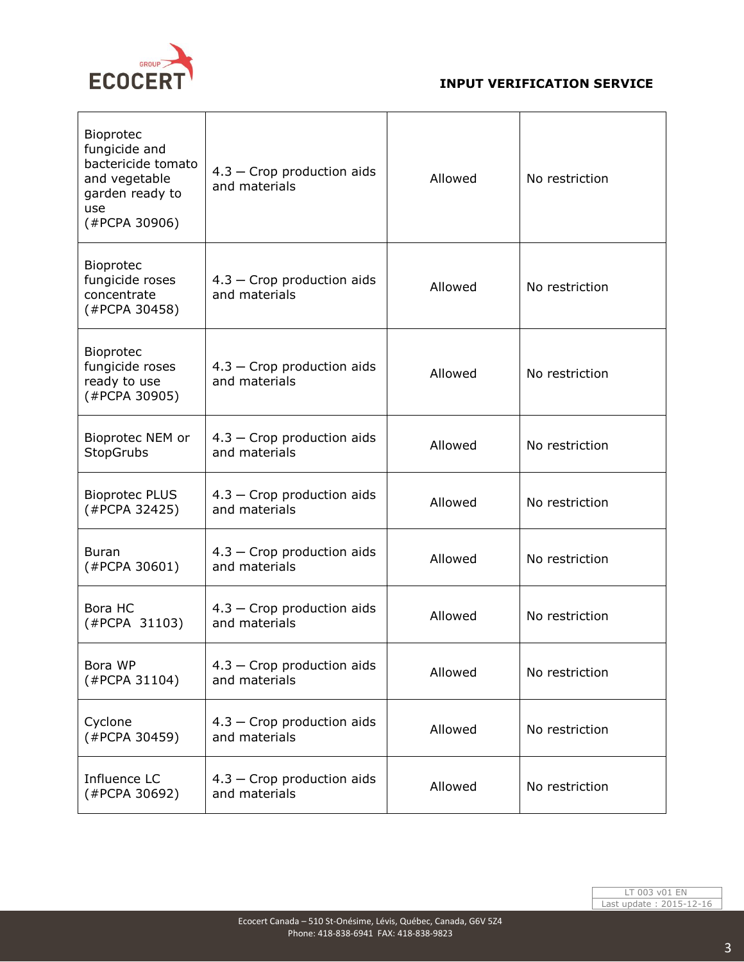

## **INPUT VERIFICATION SERVICE**

| Bioprotec<br>fungicide and<br>bactericide tomato<br>and vegetable<br>garden ready to<br>use<br>(#PCPA 30906) | $4.3$ – Crop production aids<br>and materials | Allowed | No restriction |
|--------------------------------------------------------------------------------------------------------------|-----------------------------------------------|---------|----------------|
| Bioprotec<br>fungicide roses<br>concentrate<br>(#PCPA 30458)                                                 | $4.3$ – Crop production aids<br>and materials | Allowed | No restriction |
| Bioprotec<br>fungicide roses<br>ready to use<br>(#PCPA 30905)                                                | $4.3$ – Crop production aids<br>and materials | Allowed | No restriction |
| Bioprotec NEM or<br>StopGrubs                                                                                | $4.3$ – Crop production aids<br>and materials | Allowed | No restriction |
| <b>Bioprotec PLUS</b><br>(#PCPA 32425)                                                                       | $4.3$ – Crop production aids<br>and materials | Allowed | No restriction |
| <b>Buran</b><br>(#PCPA 30601)                                                                                | $4.3$ – Crop production aids<br>and materials | Allowed | No restriction |
| Bora HC<br>(#PCPA 31103)                                                                                     | $4.3$ – Crop production aids<br>and materials | Allowed | No restriction |
| Bora WP<br>(#PCPA 31104)                                                                                     | $4.3$ – Crop production aids<br>and materials | Allowed | No restriction |
| Cyclone<br>(#PCPA 30459)                                                                                     | $4.3$ – Crop production aids<br>and materials | Allowed | No restriction |
| Influence LC<br>(#PCPA 30692)                                                                                | 4.3 - Crop production aids<br>and materials   | Allowed | No restriction |